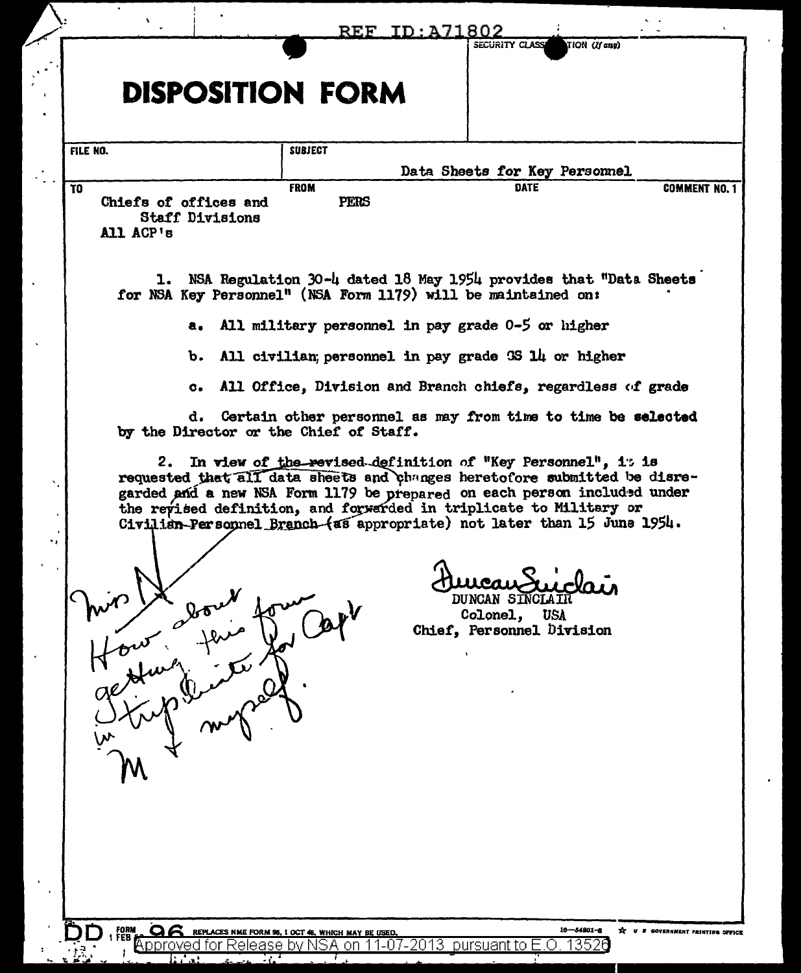|                                                              |                                                                                                                                                                                                                                                                                                                                                                          | REF ID:A71802<br>SECURITY CLASS                                              | TION (If any)                                                       |
|--------------------------------------------------------------|--------------------------------------------------------------------------------------------------------------------------------------------------------------------------------------------------------------------------------------------------------------------------------------------------------------------------------------------------------------------------|------------------------------------------------------------------------------|---------------------------------------------------------------------|
|                                                              | <b>DISPOSITION FORM</b>                                                                                                                                                                                                                                                                                                                                                  |                                                                              |                                                                     |
| FILE NO.                                                     | <b>SUBJECT</b>                                                                                                                                                                                                                                                                                                                                                           |                                                                              |                                                                     |
| T <sub>0</sub>                                               | <b>FROM</b>                                                                                                                                                                                                                                                                                                                                                              | Data Sheets for Key Personnel<br><b>DATE</b>                                 | COMMENT NO. 1                                                       |
| Chiefs of offices and<br><b>Staff Divisions</b><br>All ACP's | <b>PERS</b>                                                                                                                                                                                                                                                                                                                                                              |                                                                              |                                                                     |
|                                                              | 1. NSA Regulation 30-4 dated 18 May 1954 provides that "Data Sheets<br>for NSA Key Personnel" (NSA Form 1179) will be maintained on:                                                                                                                                                                                                                                     |                                                                              |                                                                     |
| a.                                                           | All military personnel in pay grade 0-5 or higher                                                                                                                                                                                                                                                                                                                        |                                                                              |                                                                     |
| ъ.                                                           | All civilian; personnel in pay grade 3S 14 or higher                                                                                                                                                                                                                                                                                                                     |                                                                              |                                                                     |
|                                                              | c. All Office, Division and Branch chiefs, regardless of grade                                                                                                                                                                                                                                                                                                           |                                                                              |                                                                     |
|                                                              | d. Certain other personnel as may from time to time be selected<br>by the Director or the Chief of Staff.                                                                                                                                                                                                                                                                |                                                                              |                                                                     |
|                                                              | 2. In view of the revised definition of "Key Personnel", 1: is<br>requested that all data sheets and changes heretofore submitted be disre-<br>garded and a new NSA Form 1179 be prepared on each person included under<br>the revised definition, and forwarded in triplicate to Military or<br>Civilian-Personnel Branch (as appropriate) not later than 15 June 1954. |                                                                              |                                                                     |
|                                                              |                                                                                                                                                                                                                                                                                                                                                                          | ucau Suiclai<br>DUNCAN SINCLAIN<br>Colonel, USA<br>Chief, Personnel Division |                                                                     |
|                                                              |                                                                                                                                                                                                                                                                                                                                                                          |                                                                              |                                                                     |
|                                                              |                                                                                                                                                                                                                                                                                                                                                                          |                                                                              |                                                                     |
|                                                              |                                                                                                                                                                                                                                                                                                                                                                          |                                                                              |                                                                     |
|                                                              |                                                                                                                                                                                                                                                                                                                                                                          |                                                                              |                                                                     |
|                                                              |                                                                                                                                                                                                                                                                                                                                                                          |                                                                              |                                                                     |
| FORM<br>Feb<br>Approved for                                  | REPLACES NME FORM 96, I OCT 46, WHICH MAY BE USED.                                                                                                                                                                                                                                                                                                                       | $.07 - 2013$ pursuant to                                                     | $10 - 54801 - 8$<br>X U S GOVERNMENT PRINTING OFFICE<br>13526<br>ヒロ |

 $\bar{\mathcal{A}}$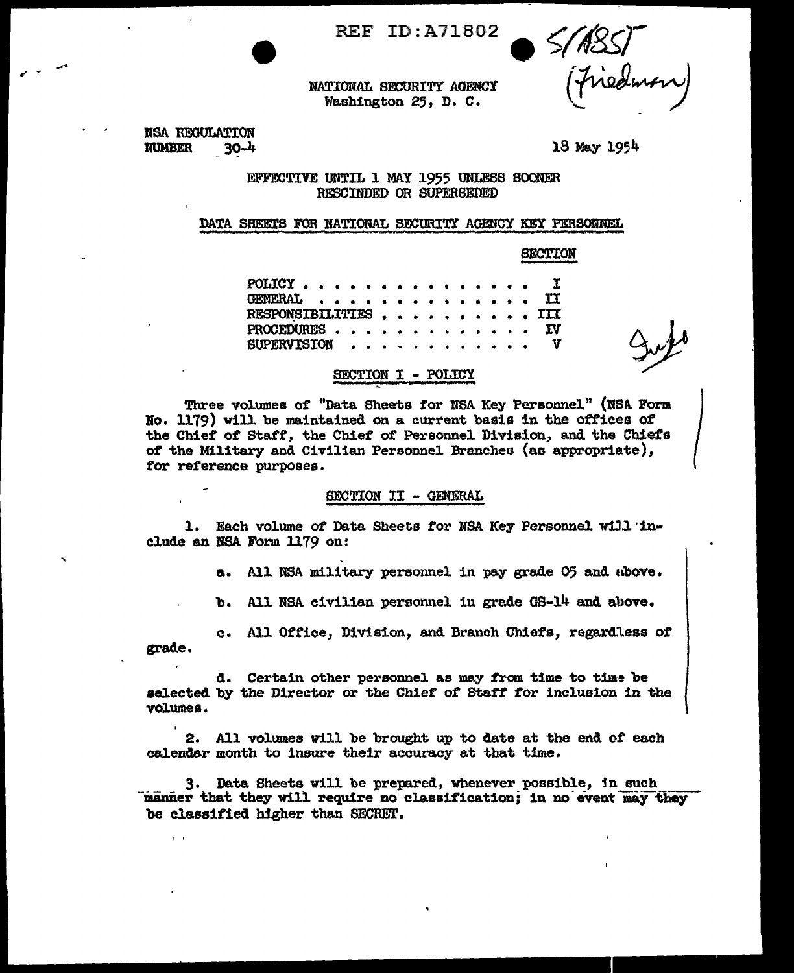**REF ID: A71802** 

res.<br>Finedman

NATIONAL SECURITY AGENCY Washington 25, D. C.

NSA REGULATION **NUMBER**  $30 - 4$ 

 $\mathbf{r}$ 

18 May 1954

EFFECTIVE UNTIL 1 MAY 1955 UNLESS SOONER RESCINDED OR SUPERSEDED

## DATA SHEETS FOR NATIONAL SECURITY AGENCY KEY PERSONNEL

**SECTION** 

| $\texttt{POLICY}$ $\texttt{I}$           |  |  |  |  |  |  |  |  |
|------------------------------------------|--|--|--|--|--|--|--|--|
| <b>GENERAL II</b>                        |  |  |  |  |  |  |  |  |
| RESPONSIBILITIES , , , , , , , , , , III |  |  |  |  |  |  |  |  |
| PROCEDURES IV                            |  |  |  |  |  |  |  |  |
| $\texttt{SUBERVISION}$ V                 |  |  |  |  |  |  |  |  |
|                                          |  |  |  |  |  |  |  |  |

# SECTION I - POLICY

Three volumes of "Data Sheets for NSA Key Personnel" (NSA Form No. 1179) will be maintained on a current basis in the offices of the Chief of Staff, the Chief of Personnel Division, and the Chiefs of the Military and Civilian Personnel Branches (as appropriate), for reference purposes.

# SECTION II - GENERAL

1. Each volume of Data Sheets for NSA Key Personnel will include an NSA Form 1179 on:

a. All NSA military personnel in pay grade 05 and above.

b. All NSA civilian personnel in grade GS-14 and above.

c. All Office, Division, and Branch Chiefs, regardless of grade.

d. Certain other personnel as may from time to time be selected by the Director or the Chief of Staff for inclusion in the volumes.

2. All volumes will be brought up to date at the end of each calendar month to insure their accuracy at that time.

3. Data Sheets will be prepared, whenever possible, in such manner that they will require no classification; in no event may they be classified higher than SECRET.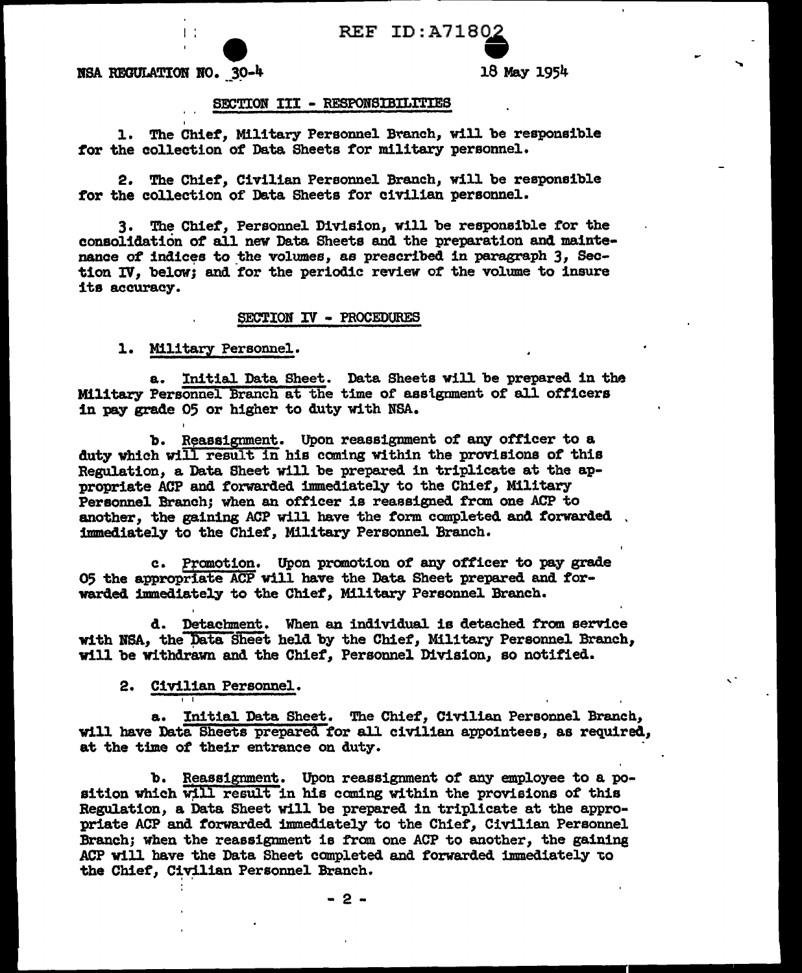# REF ID:A71802<br>18 May 1954

 $NSA$  REGULATION  $NO. 3O-4$ 

I

'

#### SECTION III - RESPONSIBILITIES

1. The Chief, Military Personnel Branch, will be responsible *tor* the collection of Data Sheets for military personnel.

2. The Chief, Civilian Personnel Branch, will be responsible for the collection of Data Sheets for civilian personnel.

3. The Chief, Personnel Division, will be responsible for the consolidation of all new Data Sheets and the preparation and maintenance of indices to the volumes, as prescribed in paragraph 3, Section IV, below; and for the periodic review of the volume to insure its accuracy.

## SECTION IV - PROCEDURES

l. Military Personnel.

a. Initial Data Sheet. Data Sheets will be prepared in the Military Personnel Branch at the time of asslgnment of all officers in pay grade 05 or higher to duty with NSA.

b. Reassignment. Upon reassignment of any officer to a duty which will result in his coming within the provisions of this Regulation, a Data Sheet will be prepared in triplicate at the appropriate ACP and forwarded immediately to the Chief', Military Personnel Branch; when an officer is reassigned from one ACP to another, the gaining ACP will have the form completed and forwarded immediately to the Chief, Military Personnel Branch.

c. Promotion. Upon promotion of any officer to pay grade 05 the appropriate ACP will have the Data Sheet prepared and forwarded immediately to the Chiet, Military Personnel. Branch.

d. Detachment. When an individual is detached from service with NSA, the Data Sheet held by the Chief, Military Personnel Branch, will be withdrawn and the Chief', Personnel Division, so notified.

# 2. Civilian Personnel.

I I

a. Initial Data Sheet. The Chief, Civilian Personnel Branch, will have Data Sheets prepared tor all civilian appointees, as required, at the time of their entrance on duty.

b. Reassignment. Upon reassignment of any employee to a position which will result in his coming within the provisions of this Regulation, a Data Sheet will be prepared in triplicate at the appropriate ACP and torwarded immediately to the Chief', Civilian Personnel Branch; when the reassignment is from one ACP to another, the gaining ACP will have the Data Sheet completed and forwarded immediately to the Chief, Civilian Personnel Branch.

- 2 -